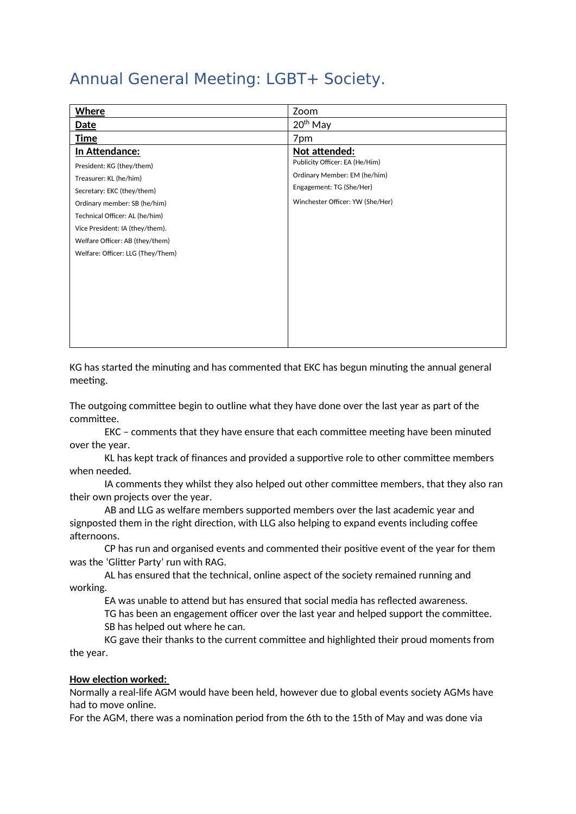# Annual General Meeting: LGBT+ Society.

| <b>Where</b>                      | Zoom                             |
|-----------------------------------|----------------------------------|
| Date                              | 20 <sup>th</sup> May             |
| <b>Time</b>                       | 7pm                              |
| In Attendance:                    | Not attended:                    |
| President: KG (they/them)         | Publicity Officer: EA (He/Him)   |
| Treasurer: KL (he/him)            | Ordinary Member: EM (he/him)     |
| Secretary: EKC (they/them)        | Engagement: TG (She/Her)         |
| Ordinary member: SB (he/him)      | Winchester Officer: YW (She/Her) |
| Technical Officer: AL (he/him)    |                                  |
| Vice President: IA (they/them).   |                                  |
| Welfare Officer: AB (they/them)   |                                  |
| Welfare: Officer: LLG (They/Them) |                                  |
|                                   |                                  |
|                                   |                                  |
|                                   |                                  |
|                                   |                                  |
|                                   |                                  |
|                                   |                                  |
|                                   |                                  |

KG has started the minuting and has commented that EKC has begun minuting the annual general meeting.

The outgoing committee begin to outline what they have done over the last year as part of the committee.

EKC – comments that they have ensure that each committee meeting have been minuted over the year.

KL has kept track of finances and provided a supportive role to other committee members when needed.

IA comments they whilst they also helped out other committee members, that they also ran their own projects over the year.

AB and LLG as welfare members supported members over the last academic year and signposted them in the right direction, with LLG also helping to expand events including coffee afternoons.

CP has run and organised events and commented their positive event of the year for them was the 'Glitter Party' run with RAG.

AL has ensured that the technical, online aspect of the society remained running and working.

EA was unable to attend but has ensured that social media has reflected awareness.

TG has been an engagement officer over the last year and helped support the committee. SB has helped out where he can.

KG gave their thanks to the current committee and highlighted their proud moments from the year.

#### **How election worked:**

Normally a real-life AGM would have been held, however due to global events society AGMs have had to move online.

For the AGM, there was a nomination period from the 6th to the 15th of May and was done via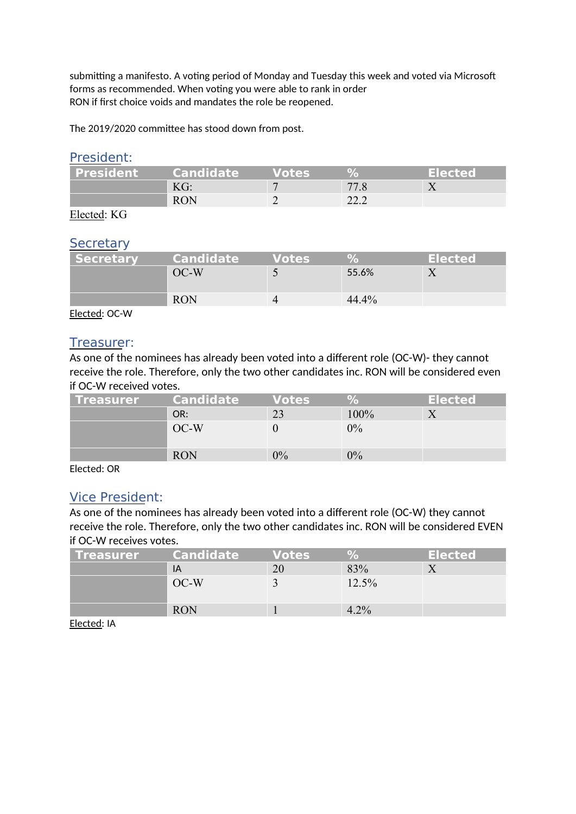submitting a manifesto. A voting period of Monday and Tuesday this week and voted via Microsoft forms as recommended. When voting you were able to rank in order RON if first choice voids and mandates the role be reopened.

The 2019/2020 committee has stood down from post.

#### President:

| <b>President</b> | <b>Candidate</b> | Votes |      | <b>Elected</b> |
|------------------|------------------|-------|------|----------------|
|                  | KG:              |       |      |                |
|                  | <b>RON</b>       |       | 22.2 |                |

Elected: KG

#### **Secretary**

| <b>Secretary</b> | <b>Candidate</b> | Votes |          | <b>Elected</b> |
|------------------|------------------|-------|----------|----------------|
|                  | $OC-W$           |       | 55.6%    |                |
|                  | <b>RON</b>       |       | $44.4\%$ |                |

Elected: OC-W

#### Treasurer:

As one of the nominees has already been voted into a different role (OC-W)- they cannot receive the role. Therefore, only the two other candidates inc. RON will be considered even if OC-W received votes.

| l Treasurer | <b>Candidate</b> | <b>Votes</b> | $\mathcal{A}_{\bullet}$ | <b>Elected</b> |
|-------------|------------------|--------------|-------------------------|----------------|
|             | OR:              |              | 100%                    |                |
|             | $OC-W$           |              | $0\%$                   |                |
|             | <b>RON</b>       | 0%           | $0\%$                   |                |

Elected: OR

### Vice President:

As one of the nominees has already been voted into a different role (OC-W) they cannot receive the role. Therefore, only the two other candidates inc. RON will be considered EVEN if OC-W receives votes.

| l Treasurer | <b>Candidate</b> | <b>Votes</b> | 94    | <b>Elected</b> |
|-------------|------------------|--------------|-------|----------------|
|             | IA               |              | 83%   |                |
|             | $OC-W$           |              | 12.5% |                |
|             | <b>RON</b>       |              | 4.2%  |                |

Elected: IA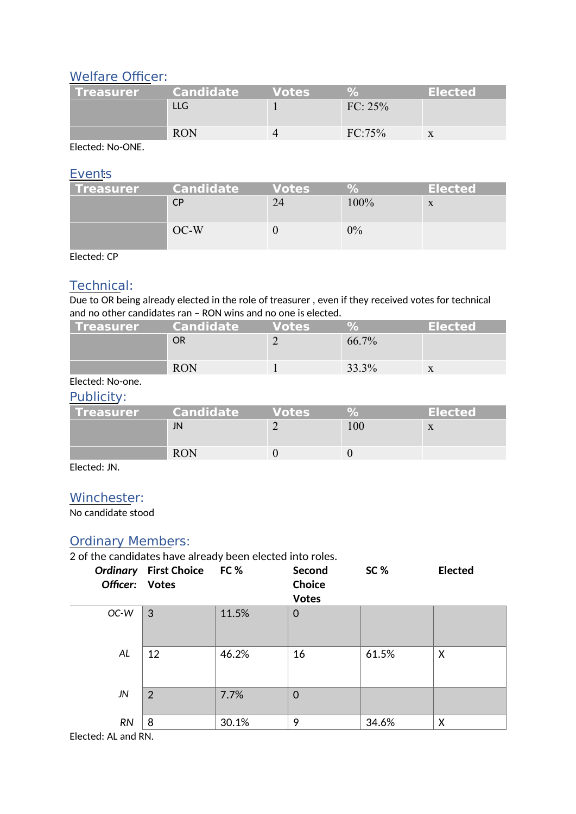### Welfare Officer:

| l Treasurer | <b>Candidate</b> | <b>Votes</b> |            | <b>Elected</b> |
|-------------|------------------|--------------|------------|----------------|
|             | II G             |              | $FC: 25\%$ |                |
|             |                  |              |            |                |
|             | <b>RON</b>       |              | FC:75%     |                |

Elected: No-ONE.

#### **Events**

| l Treasurer | <b>Candidate</b> | <b>Votes</b> | ν.    | <b>Elected</b> |
|-------------|------------------|--------------|-------|----------------|
|             | СP               |              | 100%  |                |
|             | $OC-W$           |              | $0\%$ |                |

Elected: CP

### Technical:

Due to OR being already elected in the role of treasurer, even if they received votes for technical and no other candidates ran – RON wins and no one is elected.

| l Treasurer | <b>Candidate</b> | <b>Votes</b> | $\mathbf{O}$ | <b>Elected</b> |
|-------------|------------------|--------------|--------------|----------------|
|             | OR               |              | 66.7%        |                |
|             |                  |              |              |                |
|             | <b>RON</b>       |              | 33.3%        | X              |

#### Elected: No-one.

#### Publicity:

| l Treasurer | Candidate <sup>1</sup> | <b>Votes</b> | $O_A$ | <b>Elected</b> |
|-------------|------------------------|--------------|-------|----------------|
|             | JN                     |              |       |                |
|             | <b>RON</b>             |              |       |                |

Elected: JN.

### Winchester:

No candidate stood

## Ordinary Members:

2 of the candidates have already been elected into roles.

| Officer: Votes | Ordinary First Choice FC % |       | Second<br>Choice<br><b>Votes</b> | SC%   | <b>Elected</b> |
|----------------|----------------------------|-------|----------------------------------|-------|----------------|
| OC-W           | 3                          | 11.5% | 0                                |       |                |
| AL             | 12                         | 46.2% | 16                               | 61.5% | X              |
| JN             | 2                          | 7.7%  | $\mathbf 0$                      |       |                |
| <b>RN</b>      | 8                          | 30.1% | 9                                | 34.6% | X              |

Elected: AL and RN.